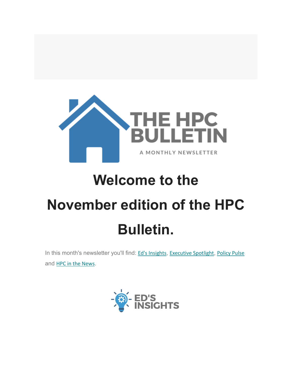

# **Welcome to the November edition of the HPC Bulletin.**

In this month's newsletter you'll find: Ed's [Insights](#page-1-0), [Executive](#page-3-0) Spotlight, [Policy Pulse](#page-4-0) and [HPC in the News](#page-10-0).

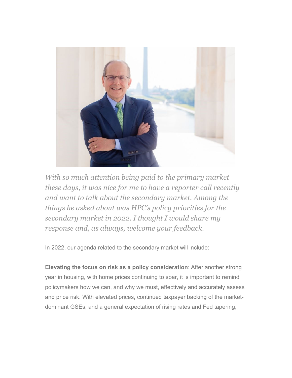

<span id="page-1-0"></span>*With so much attention being paid to the primary market these days, it was nice for me to have a reporter call recently and want to talk about the secondary market. Among the things he asked about was HPC's policy priorities for the secondary market in 2022. I thought I would share my response and, as always, welcome your feedback.*

In 2022, our agenda related to the secondary market will include:

**Elevating the focus on risk as a policy consideration**: After another strong year in housing, with home prices continuing to soar, it is important to remind policymakers how we can, and why we must, effectively and accurately assess and price risk. With elevated prices, continued taxpayer backing of the marketdominant GSEs, and a general expectation of rising rates and Fed tapering,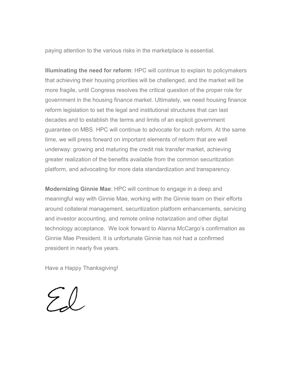paying attention to the various risks in the marketplace is essential.

**Illuminating the need for reform**: HPC will continue to explain to policymakers that achieving their housing priorities will be challenged, and the market will be more fragile, until Congress resolves the critical question of the proper role for government in the housing finance market. Ultimately, we need housing finance reform legislation to set the legal and institutional structures that can last decades and to establish the terms and limits of an explicit government guarantee on MBS. HPC will continue to advocate for such reform. At the same time, we will press forward on important elements of reform that are well underway: growing and maturing the credit risk transfer market, achieving greater realization of the benefits available from the common securitization platform, and advocating for more data standardization and transparency.

**Modernizing Ginnie Mae**: HPC will continue to engage in a deep and meaningful way with Ginnie Mae, working with the Ginnie team on their efforts around collateral management, securitization platform enhancements, servicing and investor accounting, and remote online notarization and other digital technology acceptance. We look forward to Alanna McCargo's confirmation as Ginnie Mae President. It is unfortunate Ginnie has not had a confirmed president in nearly five years.

Have a Happy Thanksgiving!

El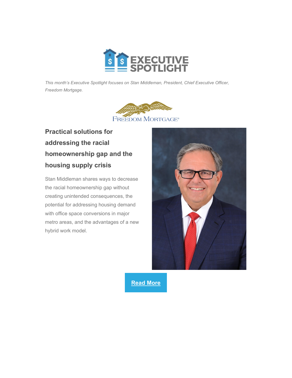

<span id="page-3-0"></span>*This month's Executive Spotlight focuses on Stan Middleman, President, Chief Executive Officer, Freedom Mortgage.*



### **Practical solutions for addressing the racial homeownership gap and the housing supply crisis**

Stan Middleman shares ways to decrease the racial homeownership gap without creating unintended consequences, the potential for addressing housing demand with office space conversions in major metro areas, and the advantages of a new hybrid work model.



**[Read More](https://nam12.safelinks.protection.outlook.com/?url=https%3A%2F%2Fhousingpolicycouncil.us4.list-manage.com%2Ftrack%2Fclick%3Fu%3D5140623077e4523696cc45400%26id%3D135e28567e%26e%3De51c2ce441&data=04%7C01%7CSheryl.Pardo%40housingpolicycouncil.org%7Cbb0ad04889b94c26723c08d99df40ac7%7Ca05a64bbd6ba4776b9825a9e6644ad76%7C1%7C0%7C637714495241378251%7CUnknown%7CTWFpbGZsb3d8eyJWIjoiMC4wLjAwMDAiLCJQIjoiV2luMzIiLCJBTiI6Ik1haWwiLCJXVCI6Mn0%3D%7C1000&sdata=314YFa%2BePyveegCqP4Ejhf8GBsvo6n%2BCBZkS0LBnYBM%3D&reserved=0)**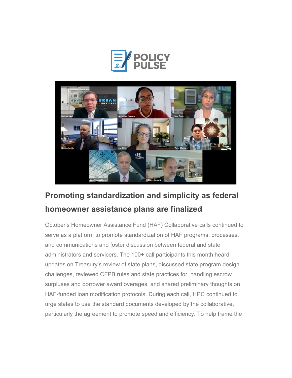



# <span id="page-4-0"></span>**Promoting standardization and simplicity as federal homeowner assistance plans are finalized**

October's Homeowner Assistance Fund (HAF) Collaborative calls continued to serve as a platform to promote standardization of HAF programs, processes, and communications and foster discussion between federal and state administrators and servicers. The 100+ call participants this month heard updates on Treasury's review of state plans, discussed state program design challenges, reviewed CFPB rules and state practices for handling escrow surpluses and borrower award overages, and shared preliminary thoughts on HAF-funded loan modification protocols. During each call, HPC continued to urge states to use the standard documents developed by the collaborative, particularly the agreement to promote speed and efficiency. To help frame the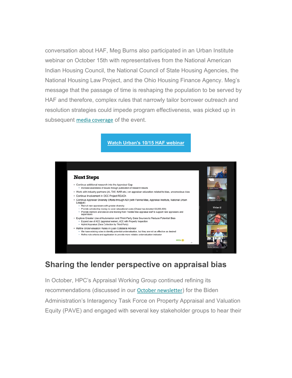conversation about HAF, Meg Burns also participated in an Urban Institute webinar on October 15th with representatives from the National American Indian Housing Council, the National Council of State Housing Agencies, the National Housing Law Project, and the Ohio Housing Finance Agency. Meg's message that the passage of time is reshaping the population to be served by HAF and therefore, complex rules that narrowly tailor borrower outreach and resolution strategies could impede program effectiveness, was picked up in subsequent [media coverage](https://nam12.safelinks.protection.outlook.com/?url=https%3A%2F%2Fhousingpolicycouncil.us4.list-manage.com%2Ftrack%2Fclick%3Fu%3D5140623077e4523696cc45400%26id%3Dc48f93a649%26e%3De51c2ce441&data=04%7C01%7CSheryl.Pardo%40housingpolicycouncil.org%7Cbb0ad04889b94c26723c08d99df40ac7%7Ca05a64bbd6ba4776b9825a9e6644ad76%7C1%7C0%7C637714495241388202%7CUnknown%7CTWFpbGZsb3d8eyJWIjoiMC4wLjAwMDAiLCJQIjoiV2luMzIiLCJBTiI6Ik1haWwiLCJXVCI6Mn0%3D%7C1000&sdata=CBPaPUiXk4jwTjDoPEmjHgOlA2ajgwE3d1PBB2uLG9g%3D&reserved=0) of the event.

#### **[Watch Urban's 10/15 HAF webinar](https://nam12.safelinks.protection.outlook.com/?url=https%3A%2F%2Fhousingpolicycouncil.us4.list-manage.com%2Ftrack%2Fclick%3Fu%3D5140623077e4523696cc45400%26id%3D747c215738%26e%3De51c2ce441&data=04%7C01%7CSheryl.Pardo%40housingpolicycouncil.org%7Cbb0ad04889b94c26723c08d99df40ac7%7Ca05a64bbd6ba4776b9825a9e6644ad76%7C1%7C0%7C637714495241398145%7CUnknown%7CTWFpbGZsb3d8eyJWIjoiMC4wLjAwMDAiLCJQIjoiV2luMzIiLCJBTiI6Ik1haWwiLCJXVCI6Mn0%3D%7C1000&sdata=tuJKI5wqAT0G1ltEYGitqKbmgcdSksPe6y%2BUul44jrA%3D&reserved=0)**



#### **Sharing the lender perspective on appraisal bias**

In October, HPC's Appraisal Working Group continued refining its recommendations (discussed in our [October newsletter](https://nam12.safelinks.protection.outlook.com/?url=https%3A%2F%2Fhousingpolicycouncil.us4.list-manage.com%2Ftrack%2Fclick%3Fu%3D5140623077e4523696cc45400%26id%3D8cb6360801%26e%3De51c2ce441&data=04%7C01%7CSheryl.Pardo%40housingpolicycouncil.org%7Cbb0ad04889b94c26723c08d99df40ac7%7Ca05a64bbd6ba4776b9825a9e6644ad76%7C1%7C0%7C637714495241398145%7CUnknown%7CTWFpbGZsb3d8eyJWIjoiMC4wLjAwMDAiLCJQIjoiV2luMzIiLCJBTiI6Ik1haWwiLCJXVCI6Mn0%3D%7C1000&sdata=0LMt29X0VocEMzPcVO96W1N5C20M%2F1PdfruGsDzSP1I%3D&reserved=0)) for the Biden Administration's Interagency Task Force on Property Appraisal and Valuation Equity (PAVE) and engaged with several key stakeholder groups to hear their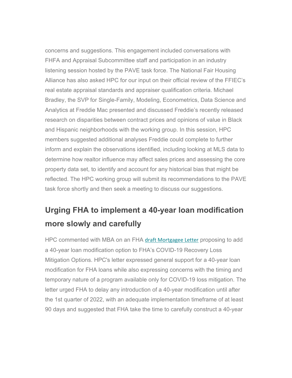concerns and suggestions. This engagement included conversations with FHFA and Appraisal Subcommittee staff and participation in an industry listening session hosted by the PAVE task force. The National Fair Housing Alliance has also asked HPC for our input on their official review of the FFIEC's real estate appraisal standards and appraiser qualification criteria. Michael Bradley, the SVP for Single-Family, Modeling, Econometrics, Data Science and Analytics at Freddie Mac presented and discussed Freddie's recently released research on disparities between contract prices and opinions of value in Black and Hispanic neighborhoods with the working group. In this session, HPC members suggested additional analyses Freddie could complete to further inform and explain the observations identified, including looking at MLS data to determine how realtor influence may affect sales prices and assessing the core property data set, to identify and account for any historical bias that might be reflected. The HPC working group will submit its recommendations to the PAVE task force shortly and then seek a meeting to discuss our suggestions.

# **Urging FHA to implement a 40-year loan modification more slowly and carefully**

HPC commented with MBA on an FHA [draft Mortgagee Letter](https://nam12.safelinks.protection.outlook.com/?url=https%3A%2F%2Fhousingpolicycouncil.us4.list-manage.com%2Ftrack%2Fclick%3Fu%3D5140623077e4523696cc45400%26id%3D422417fa3a%26e%3De51c2ce441&data=04%7C01%7CSheryl.Pardo%40housingpolicycouncil.org%7Cbb0ad04889b94c26723c08d99df40ac7%7Ca05a64bbd6ba4776b9825a9e6644ad76%7C1%7C0%7C637714495241408103%7CUnknown%7CTWFpbGZsb3d8eyJWIjoiMC4wLjAwMDAiLCJQIjoiV2luMzIiLCJBTiI6Ik1haWwiLCJXVCI6Mn0%3D%7C1000&sdata=RcBUlA7n4J48g%2BITzgQJ%2F%2BmEXb4OkX%2F4inQiXY2iLZA%3D&reserved=0) proposing to add a 40-year loan modification option to FHA's COVID-19 Recovery Loss Mitigation Options. HPC's letter expressed general support for a 40-year loan modification for FHA loans while also expressing concerns with the timing and temporary nature of a program available only for COVID-19 loss mitigation. The letter urged FHA to delay any introduction of a 40-year modification until after the 1st quarter of 2022, with an adequate implementation timeframe of at least 90 days and suggested that FHA take the time to carefully construct a 40-year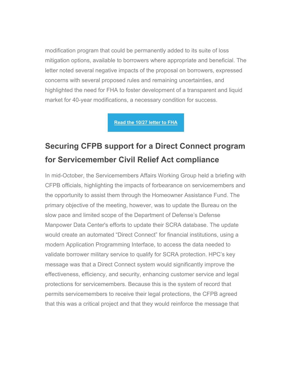modification program that could be permanently added to its suite of loss mitigation options, available to borrowers where appropriate and beneficial. The letter noted several negative impacts of the proposal on borrowers, expressed concerns with several proposed rules and remaining uncertainties, and highlighted the need for FHA to foster development of a transparent and liquid market for 40-year modifications, a necessary condition for success.

**[Read the 10/27 letter to FHA](https://nam12.safelinks.protection.outlook.com/?url=https%3A%2F%2Fhousingpolicycouncil.us4.list-manage.com%2Ftrack%2Fclick%3Fu%3D5140623077e4523696cc45400%26id%3D6967649c09%26e%3De51c2ce441&data=04%7C01%7CSheryl.Pardo%40housingpolicycouncil.org%7Cbb0ad04889b94c26723c08d99df40ac7%7Ca05a64bbd6ba4776b9825a9e6644ad76%7C1%7C0%7C637714495241408103%7CUnknown%7CTWFpbGZsb3d8eyJWIjoiMC4wLjAwMDAiLCJQIjoiV2luMzIiLCJBTiI6Ik1haWwiLCJXVCI6Mn0%3D%7C1000&sdata=N4wNrUs3tMJH%2F1WwO1hwT%2BHfSVYZudGzvHBaHIBNpUY%3D&reserved=0)**

## **Securing CFPB support for a Direct Connect program for Servicemember Civil Relief Act compliance**

In mid-October, the Servicemembers Affairs Working Group held a briefing with CFPB officials, highlighting the impacts of forbearance on servicemembers and the opportunity to assist them through the Homeowner Assistance Fund. The primary objective of the meeting, however, was to update the Bureau on the slow pace and limited scope of the Department of Defense's Defense Manpower Data Center's efforts to update their SCRA database. The update would create an automated "Direct Connect" for financial institutions, using a modern Application Programming Interface, to access the data needed to validate borrower military service to qualify for SCRA protection. HPC's key message was that a Direct Connect system would significantly improve the effectiveness, efficiency, and security, enhancing customer service and legal protections for servicemembers. Because this is the system of record that permits servicemembers to receive their legal protections, the CFPB agreed that this was a critical project and that they would reinforce the message that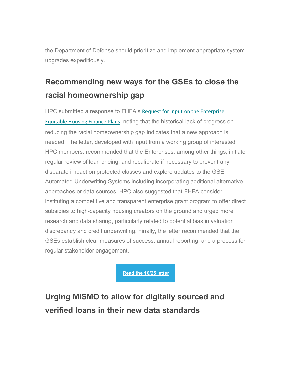the Department of Defense should prioritize and implement appropriate system upgrades expeditiously.

# **Recommending new ways for the GSEs to close the racial homeownership gap**

HPC submitted a response to FHFA's [Request for Input on the Enterprise](https://nam12.safelinks.protection.outlook.com/?url=https%3A%2F%2Fhousingpolicycouncil.us4.list-manage.com%2Ftrack%2Fclick%3Fu%3D5140623077e4523696cc45400%26id%3D0ea0931b34%26e%3De51c2ce441&data=04%7C01%7CSheryl.Pardo%40housingpolicycouncil.org%7Cbb0ad04889b94c26723c08d99df40ac7%7Ca05a64bbd6ba4776b9825a9e6644ad76%7C1%7C0%7C637714495241418053%7CUnknown%7CTWFpbGZsb3d8eyJWIjoiMC4wLjAwMDAiLCJQIjoiV2luMzIiLCJBTiI6Ik1haWwiLCJXVCI6Mn0%3D%7C1000&sdata=nK52DFE0WnA%2BsjV6naEamVN0BmwcKmk1ZlwTsY49its%3D&reserved=0)  [Equitable Housing Finance Plans](https://nam12.safelinks.protection.outlook.com/?url=https%3A%2F%2Fhousingpolicycouncil.us4.list-manage.com%2Ftrack%2Fclick%3Fu%3D5140623077e4523696cc45400%26id%3D0ea0931b34%26e%3De51c2ce441&data=04%7C01%7CSheryl.Pardo%40housingpolicycouncil.org%7Cbb0ad04889b94c26723c08d99df40ac7%7Ca05a64bbd6ba4776b9825a9e6644ad76%7C1%7C0%7C637714495241418053%7CUnknown%7CTWFpbGZsb3d8eyJWIjoiMC4wLjAwMDAiLCJQIjoiV2luMzIiLCJBTiI6Ik1haWwiLCJXVCI6Mn0%3D%7C1000&sdata=nK52DFE0WnA%2BsjV6naEamVN0BmwcKmk1ZlwTsY49its%3D&reserved=0), noting that the historical lack of progress on reducing the racial homeownership gap indicates that a new approach is needed. The letter, developed with input from a working group of interested HPC members, recommended that the Enterprises, among other things, initiate regular review of loan pricing, and recalibrate if necessary to prevent any disparate impact on protected classes and explore updates to the GSE Automated Underwriting Systems including incorporating additional alternative approaches or data sources. HPC also suggested that FHFA consider instituting a competitive and transparent enterprise grant program to offer direct subsidies to high-capacity housing creators on the ground and urged more research and data sharing, particularly related to potential bias in valuation discrepancy and credit underwriting. Finally, the letter recommended that the GSEs establish clear measures of success, annual reporting, and a process for regular stakeholder engagement.

**[Read the 10/25 letter](https://nam12.safelinks.protection.outlook.com/?url=https%3A%2F%2Fhousingpolicycouncil.us4.list-manage.com%2Ftrack%2Fclick%3Fu%3D5140623077e4523696cc45400%26id%3D05ad372a02%26e%3De51c2ce441&data=04%7C01%7CSheryl.Pardo%40housingpolicycouncil.org%7Cbb0ad04889b94c26723c08d99df40ac7%7Ca05a64bbd6ba4776b9825a9e6644ad76%7C1%7C0%7C637714495241418053%7CUnknown%7CTWFpbGZsb3d8eyJWIjoiMC4wLjAwMDAiLCJQIjoiV2luMzIiLCJBTiI6Ik1haWwiLCJXVCI6Mn0%3D%7C1000&sdata=3dI9oeH%2BcF83cyMpqbYL1CfZh2JHqSohFDAM13b9%2Fw0%3D&reserved=0)** 

**Urging MISMO to allow for digitally sourced and verified loans in their new data standards**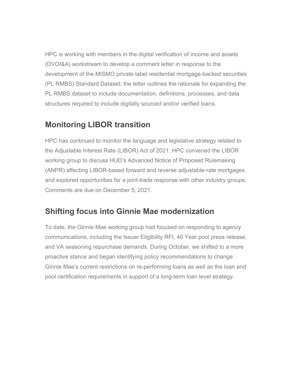HPC is working with members in the digital verification of income and assets (DVOI&A) workstream to develop a comment letter in response to the development of the MISMO private label residential mortgage-backed securities (PL RMBS) Standard Dataset; the letter outlines the rationale for expanding the PL RMBS dataset to include documentation, definitions, processes, and data structures required to include digitally sourced and/or verified loans.

#### **Monitoring LIBOR transition**

HPC has continued to monitor the language and legislative strategy related to the Adjustable Interest Rate (LIBOR) Act of 2021. HPC convened the LIBOR working group to discuss HUD's Advanced Notice of Proposed Rulemaking (ANPR) affecting LIBOR-based forward and reverse adjustable-rate mortgages and explored opportunities for a joint-trade response with other industry groups. Comments are due on December 5, 2021.

#### **Shifting focus into Ginnie Mae modernization**

To date, the Ginnie Mae working group had focused on responding to agency communications, including the Issuer Eligibility RFI, 40 Year pool press release, and VA seasoning repurchase demands. During October, we shifted to a more proactive stance and began identifying policy recommendations to change Ginnie Mae's current restrictions on re-performing loans as well as the loan and pool certification requirements in support of a long-term loan level strategy.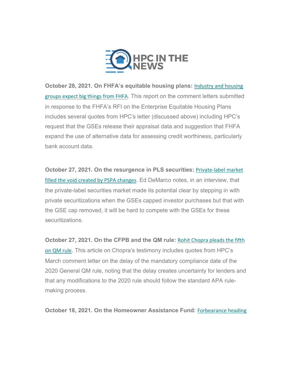

<span id="page-10-0"></span>**October 28, 2021. On FHFA's equitable housing plans:** [Industry and housing](https://nam12.safelinks.protection.outlook.com/?url=https%3A%2F%2Fhousingpolicycouncil.us4.list-manage.com%2Ftrack%2Fclick%3Fu%3D5140623077e4523696cc45400%26id%3Df9ce257ad7%26e%3De51c2ce441&data=04%7C01%7CSheryl.Pardo%40housingpolicycouncil.org%7Cbb0ad04889b94c26723c08d99df40ac7%7Ca05a64bbd6ba4776b9825a9e6644ad76%7C1%7C0%7C637714495241428006%7CUnknown%7CTWFpbGZsb3d8eyJWIjoiMC4wLjAwMDAiLCJQIjoiV2luMzIiLCJBTiI6Ik1haWwiLCJXVCI6Mn0%3D%7C1000&sdata=i1zkOSfP3gVFA8DtxGN81W%2FC6%2BCmsJnzW%2Bci4z6gxoU%3D&reserved=0)  [groups expect big things from FHFA](https://nam12.safelinks.protection.outlook.com/?url=https%3A%2F%2Fhousingpolicycouncil.us4.list-manage.com%2Ftrack%2Fclick%3Fu%3D5140623077e4523696cc45400%26id%3Df9ce257ad7%26e%3De51c2ce441&data=04%7C01%7CSheryl.Pardo%40housingpolicycouncil.org%7Cbb0ad04889b94c26723c08d99df40ac7%7Ca05a64bbd6ba4776b9825a9e6644ad76%7C1%7C0%7C637714495241428006%7CUnknown%7CTWFpbGZsb3d8eyJWIjoiMC4wLjAwMDAiLCJQIjoiV2luMzIiLCJBTiI6Ik1haWwiLCJXVCI6Mn0%3D%7C1000&sdata=i1zkOSfP3gVFA8DtxGN81W%2FC6%2BCmsJnzW%2Bci4z6gxoU%3D&reserved=0). This report on the comment letters submitted in response to the FHFA's RFI on the Enterprise Equitable Housing Plans includes several quotes from HPC's letter (discussed above) including HPC's request that the GSEs release their appraisal data and suggestion that FHFA expand the use of alternative data for assessing credit worthiness, particularly bank account data.

**October 27, 2021. On the resurgence in PLS securities:** [Private-label market](https://nam12.safelinks.protection.outlook.com/?url=https%3A%2F%2Fhousingpolicycouncil.us4.list-manage.com%2Ftrack%2Fclick%3Fu%3D5140623077e4523696cc45400%26id%3Dd80cd63f3e%26e%3De51c2ce441&data=04%7C01%7CSheryl.Pardo%40housingpolicycouncil.org%7Cbb0ad04889b94c26723c08d99df40ac7%7Ca05a64bbd6ba4776b9825a9e6644ad76%7C1%7C0%7C637714495241437961%7CUnknown%7CTWFpbGZsb3d8eyJWIjoiMC4wLjAwMDAiLCJQIjoiV2luMzIiLCJBTiI6Ik1haWwiLCJXVCI6Mn0%3D%7C1000&sdata=IU70S%2BiPURFvMpm%2Fd1dradvIlP%2BM1JileNJcqFh%2F4ro%3D&reserved=0)  [filled the void created by PSPA changes](https://nam12.safelinks.protection.outlook.com/?url=https%3A%2F%2Fhousingpolicycouncil.us4.list-manage.com%2Ftrack%2Fclick%3Fu%3D5140623077e4523696cc45400%26id%3Dd80cd63f3e%26e%3De51c2ce441&data=04%7C01%7CSheryl.Pardo%40housingpolicycouncil.org%7Cbb0ad04889b94c26723c08d99df40ac7%7Ca05a64bbd6ba4776b9825a9e6644ad76%7C1%7C0%7C637714495241437961%7CUnknown%7CTWFpbGZsb3d8eyJWIjoiMC4wLjAwMDAiLCJQIjoiV2luMzIiLCJBTiI6Ik1haWwiLCJXVCI6Mn0%3D%7C1000&sdata=IU70S%2BiPURFvMpm%2Fd1dradvIlP%2BM1JileNJcqFh%2F4ro%3D&reserved=0). Ed DeMarco notes, in an interview, that the private-label securities market made its potential clear by stepping in with private securitizations when the GSEs capped investor purchases but that with the GSE cap removed, it will be hard to compete with the GSEs for these securitizations.

**October 27, 2021. On the CFPB and the QM rule:** [Rohit Chopra pleads the fifth](https://nam12.safelinks.protection.outlook.com/?url=https%3A%2F%2Fhousingpolicycouncil.us4.list-manage.com%2Ftrack%2Fclick%3Fu%3D5140623077e4523696cc45400%26id%3D19a8b983fd%26e%3De51c2ce441&data=04%7C01%7CSheryl.Pardo%40housingpolicycouncil.org%7Cbb0ad04889b94c26723c08d99df40ac7%7Ca05a64bbd6ba4776b9825a9e6644ad76%7C1%7C0%7C637714495241437961%7CUnknown%7CTWFpbGZsb3d8eyJWIjoiMC4wLjAwMDAiLCJQIjoiV2luMzIiLCJBTiI6Ik1haWwiLCJXVCI6Mn0%3D%7C1000&sdata=uLX3TGYgX%2F6YE0Z%2FyhEadODM17MKMM17%2BCouoV%2FwWv0%3D&reserved=0)  [on QM rule](https://nam12.safelinks.protection.outlook.com/?url=https%3A%2F%2Fhousingpolicycouncil.us4.list-manage.com%2Ftrack%2Fclick%3Fu%3D5140623077e4523696cc45400%26id%3D19a8b983fd%26e%3De51c2ce441&data=04%7C01%7CSheryl.Pardo%40housingpolicycouncil.org%7Cbb0ad04889b94c26723c08d99df40ac7%7Ca05a64bbd6ba4776b9825a9e6644ad76%7C1%7C0%7C637714495241437961%7CUnknown%7CTWFpbGZsb3d8eyJWIjoiMC4wLjAwMDAiLCJQIjoiV2luMzIiLCJBTiI6Ik1haWwiLCJXVCI6Mn0%3D%7C1000&sdata=uLX3TGYgX%2F6YE0Z%2FyhEadODM17MKMM17%2BCouoV%2FwWv0%3D&reserved=0). This article on Chopra's testimony includes quotes from HPC's March comment letter on the delay of the mandatory compliance date of the 2020 General QM rule, noting that the delay creates uncertainty for lenders and that any modifications to the 2020 rule should follow the standard APA rulemaking process.

**October 18, 2021. On the Homeowner Assistance Fund:** [Forbearance heading](https://nam12.safelinks.protection.outlook.com/?url=https%3A%2F%2Fhousingpolicycouncil.us4.list-manage.com%2Ftrack%2Fclick%3Fu%3D5140623077e4523696cc45400%26id%3D4d5203d67f%26e%3De51c2ce441&data=04%7C01%7CSheryl.Pardo%40housingpolicycouncil.org%7Cbb0ad04889b94c26723c08d99df40ac7%7Ca05a64bbd6ba4776b9825a9e6644ad76%7C1%7C0%7C637714495241447918%7CUnknown%7CTWFpbGZsb3d8eyJWIjoiMC4wLjAwMDAiLCJQIjoiV2luMzIiLCJBTiI6Ik1haWwiLCJXVCI6Mn0%3D%7C1000&sdata=MU5X5iSnhjhGmMX2QUgaxUeQ%2FUAxMHjnK6yobN7%2BXF8%3D&reserved=0)